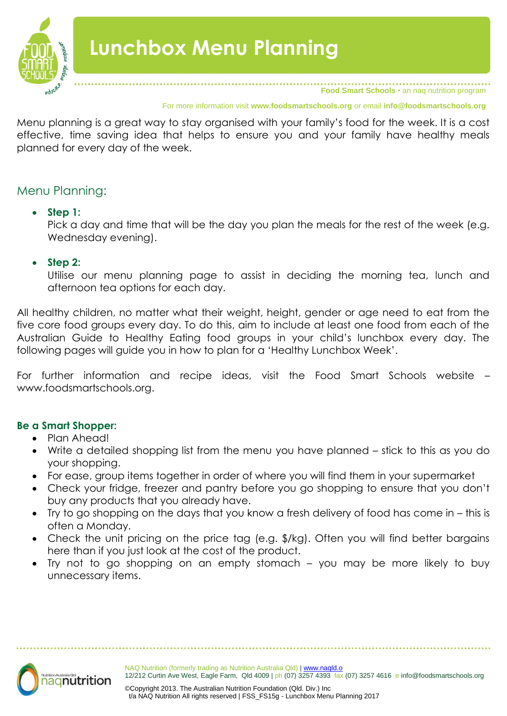

For more information visit **www.foodsmartschools.org** or email **info@foodsmartschools.org**

Menu planning is a great way to stay organised with your family's food for the week. It is a cost effective, time saving idea that helps to ensure you and your family have healthy meals planned for every day of the week.

# Menu Planning:

### **Step 1:**

Pick a day and time that will be the day you plan the meals for the rest of the week (e.g. Wednesday evening).

**Step 2:**

Utilise our menu planning page to assist in deciding the morning tea, lunch and afternoon tea options for each day.

All healthy children, no matter what their weight, height, gender or age need to eat from the five core food groups every day. To do this, aim to include at least one food from each of the Australian Guide to Healthy Eating food groups in your child's lunchbox every day. The following pages will guide you in how to plan for a 'Healthy Lunchbox Week'.

For further information and recipe ideas, visit the Food Smart Schools website – www.foodsmartschools.org.

### **Be a Smart Shopper:**

- Plan Ahead!
- Write a detailed shopping list from the menu you have planned stick to this as you do your shopping.
- For ease, group items together in order of where you will find them in your supermarket
- Check your fridge, freezer and pantry before you go shopping to ensure that you don't buy any products that you already have.
- Try to go shopping on the days that you know a fresh delivery of food has come in this is often a Monday.
- Check the unit pricing on the price tag (e.g. \$/kg). Often you will find better bargains here than if you just look at the cost of the product.
- Try not to go shopping on an empty stomach you may be more likely to buy unnecessary items.

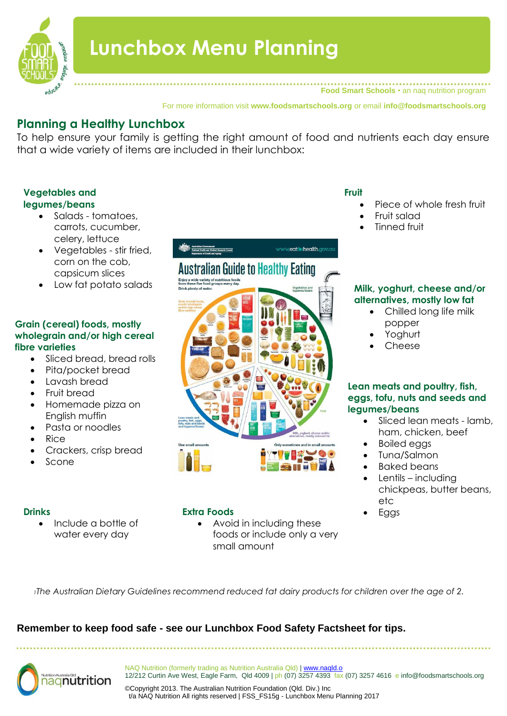

# **Lunchbox Menu Planning**

**Food Smart Schools** • an naq nutrition program

For more information visit **www.foodsmartschools.org** or email **info@foodsmartschools.org**

www.eatitrhealth.gov

# **Planning a Healthy Lunchbox**

To help ensure your family is getting the right amount of food and nutrients each day ensure that a wide variety of items are included in their lunchbox:

**Australian Guide to Healthy Eating** 

### **Vegetables and legumes/beans**

- Salads tomatoes, carrots, cucumber, celery, lettuce
- Vegetables stir fried, corn on the cob, capsicum slices
- Low fat potato salads

#### **Grain (cereal) foods, mostly wholegrain and/or high cereal fibre varieties**

- Sliced bread, bread rolls
- Pita/pocket bread
- Lavash bread
- Fruit bread
- Homemade pizza on English muffin
- Pasta or noodles
- Rice
- Crackers, crisp bread
- Scone

 Include a bottle of water every day

### **Drinks** Eggs **Extra Foods**

• Avoid in including these foods or include only a very small amount

### **Fruit**

- Piece of whole fresh fruit
	- Fruit salad
	- Tinned fruit

#### **Milk, yoghurt, cheese and/or alternatives, mostly low fat**

- Chilled long life milk popper
- Yoghurt
- Cheese

### **Lean meats and poultry, fish, eggs, tofu, nuts and seeds and legumes/beans**

- Sliced lean meats lamb, ham, chicken, beef
- Boiled eggs
- Tuna/Salmon
- Baked beans
- Lentils including chickpeas, butter beans, etc
- 

*<sup>1</sup>The Australian Dietary Guidelines recommend reduced fat dairy products for children over the age of 2.*

# **Remember to keep food safe - see our Lunchbox Food Safety Factsheet for tips.**



NAQ Nutrition (formerly trading as Nutrition Australia Qld) | www.naqld.o 12/212 Curtin Ave West, Eagle Farm, Qld 4009 | ph (07) 3257 4393 fax (07) 3257 4616 e info@foodsmartschools.org

©Copyright 2013. The Australian Nutrition Foundation (Qld. Div.) Inc t/a NAQ Nutrition All rights reserved | FSS\_FS15g - Lunchbox Menu Planning 2017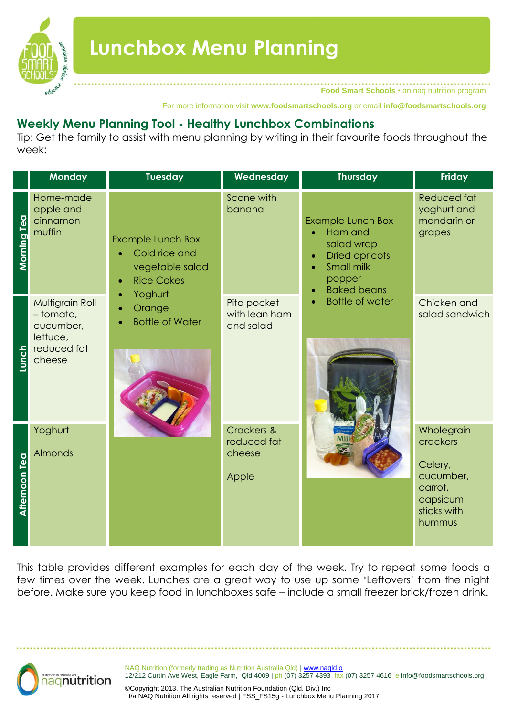

**Food Smart Schools** • an naq nutrition program

For more information visit **www.foodsmartschools.org** or email **info@foodsmartschools.org**

# **Weekly Menu Planning Tool - Healthy Lunchbox Combinations**

Tip: Get the family to assist with menu planning by writing in their favourite foods throughout the week:

|                      | Monday                                                                         | <b>Tuesday</b>                                                                                            | Wednesday                                    | <b>Thursday</b>                                                                                                                                         | Friday                                                                                         |
|----------------------|--------------------------------------------------------------------------------|-----------------------------------------------------------------------------------------------------------|----------------------------------------------|---------------------------------------------------------------------------------------------------------------------------------------------------------|------------------------------------------------------------------------------------------------|
| <b>Morning Tea</b>   | Home-made<br>apple and<br>cinnamon<br>muffin                                   | <b>Example Lunch Box</b><br>Cold rice and<br>vegetable salad<br><b>Rice Cakes</b><br>$\bullet$<br>Yoghurt | Scone with<br>banana                         | <b>Example Lunch Box</b><br>Ham and<br>ö<br>salad wrap<br><b>Dried apricots</b><br>$\bullet$<br>Small milk<br>popper<br><b>Baked beans</b><br>$\bullet$ | <b>Reduced fat</b><br>yoghurt and<br>mandarin or<br>grapes                                     |
| <b>Lunch</b>         | Multigrain Roll<br>- tomato,<br>cucumber,<br>lettuce,<br>reduced fat<br>cheese | Orange<br><b>Bottle of Water</b>                                                                          | Pita pocket<br>with lean ham<br>and salad    | <b>Bottle of water</b><br>$\bullet$                                                                                                                     | Chicken and<br>salad sandwich                                                                  |
| <b>Afternoon Tea</b> | Yoghurt<br>Almonds                                                             |                                                                                                           | Crackers &<br>reduced fat<br>cheese<br>Apple |                                                                                                                                                         | Wholegrain<br>crackers<br>Celery,<br>cucumber,<br>carrot,<br>capsicum<br>sticks with<br>hummus |

This table provides different examples for each day of the week. Try to repeat some foods a few times over the week. Lunches are a great way to use up some 'Leftovers' from the night before. Make sure you keep food in lunchboxes safe – include a small freezer brick/frozen drink.



NAQ Nutrition (formerly trading as Nutrition Australia Qld) | www.naqld.o 12/212 Curtin Ave West, Eagle Farm, Qld 4009 | ph (07) 3257 4393 fax (07) 3257 4616 e info@foodsmartschools.org